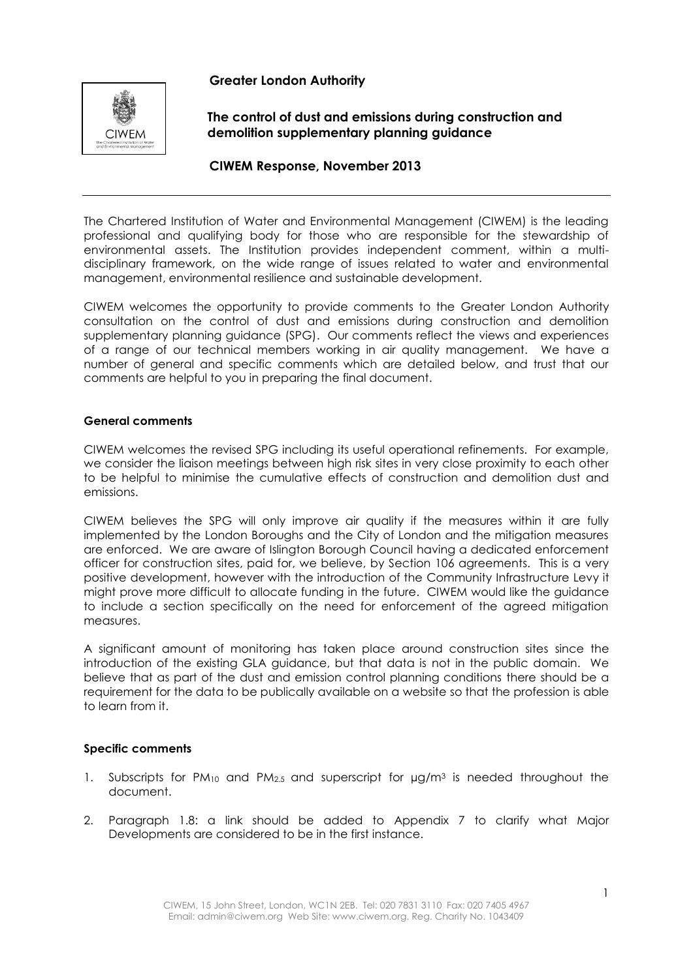## **Greater London Authority**



**The control of dust and emissions during construction and demolition supplementary planning guidance**

### **CIWEM Response, November 2013**

The Chartered Institution of Water and Environmental Management (CIWEM) is the leading professional and qualifying body for those who are responsible for the stewardship of environmental assets. The Institution provides independent comment, within a multidisciplinary framework, on the wide range of issues related to water and environmental management, environmental resilience and sustainable development.

CIWEM welcomes the opportunity to provide comments to the Greater London Authority consultation on the control of dust and emissions during construction and demolition supplementary planning guidance (SPG). Our comments reflect the views and experiences of a range of our technical members working in air quality management. We have a number of general and specific comments which are detailed below, and trust that our comments are helpful to you in preparing the final document.

#### **General comments**

CIWEM welcomes the revised SPG including its useful operational refinements. For example, we consider the liaison meetings between high risk sites in very close proximity to each other to be helpful to minimise the cumulative effects of construction and demolition dust and emissions.

CIWEM believes the SPG will only improve air quality if the measures within it are fully implemented by the London Boroughs and the City of London and the mitigation measures are enforced. We are aware of Islington Borough Council having a dedicated enforcement officer for construction sites, paid for, we believe, by Section 106 agreements. This is a very positive development, however with the introduction of the Community Infrastructure Levy it might prove more difficult to allocate funding in the future. CIWEM would like the guidance to include a section specifically on the need for enforcement of the agreed mitigation measures.

A significant amount of monitoring has taken place around construction sites since the introduction of the existing GLA guidance, but that data is not in the public domain. We believe that as part of the dust and emission control planning conditions there should be a requirement for the data to be publically available on a website so that the profession is able to learn from it.

#### **Specific comments**

- 1. Subscripts for  $PM_{10}$  and  $PM_{2.5}$  and superscript for  $\mu g/m^3$  is needed throughout the document.
- 2. Paragraph 1.8: a link should be added to Appendix 7 to clarify what Major Developments are considered to be in the first instance.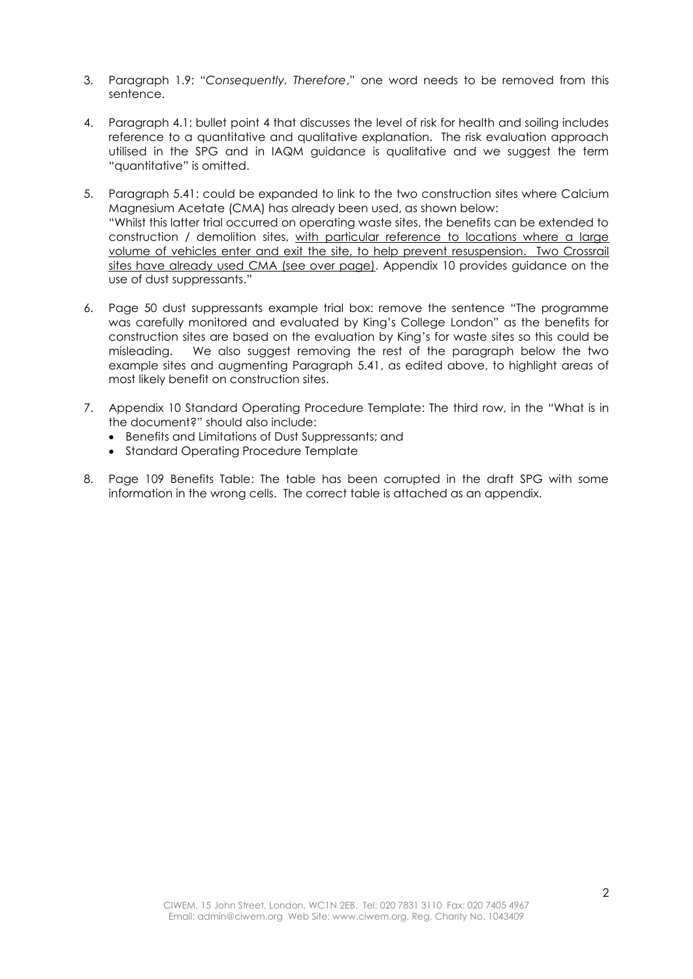- 3. Paragraph 1.9: "*Consequently. Therefore*," one word needs to be removed from this sentence.
- 4. Paragraph 4.1: bullet point 4 that discusses the level of risk for health and soiling includes reference to a quantitative and qualitative explanation. The risk evaluation approach utilised in the SPG and in IAQM guidance is qualitative and we suggest the term "quantitative" is omitted.
- 5. Paragraph 5.41: could be expanded to link to the two construction sites where Calcium Magnesium Acetate (CMA) has already been used, as shown below: "Whilst this latter trial occurred on operating waste sites, the benefits can be extended to construction / demolition sites, with particular reference to locations where a large volume of vehicles enter and exit the site, to help prevent resuspension. Two Crossrail sites have already used CMA (see over page). Appendix 10 provides guidance on the use of dust suppressants."
- 6. Page 50 dust suppressants example trial box: remove the sentence "The programme was carefully monitored and evaluated by King's College London" as the benefits for construction sites are based on the evaluation by King's for waste sites so this could be misleading. We also suggest removing the rest of the paragraph below the two example sites and augmenting Paragraph 5.41, as edited above, to highlight areas of most likely benefit on construction sites.
- 7. Appendix 10 Standard Operating Procedure Template: The third row, in the "What is in the document?" should also include:
	- Benefits and Limitations of Dust Suppressants; and
	- Standard Operating Procedure Template
- 8. Page 109 Benefits Table: The table has been corrupted in the draft SPG with some information in the wrong cells. The correct table is attached as an appendix.